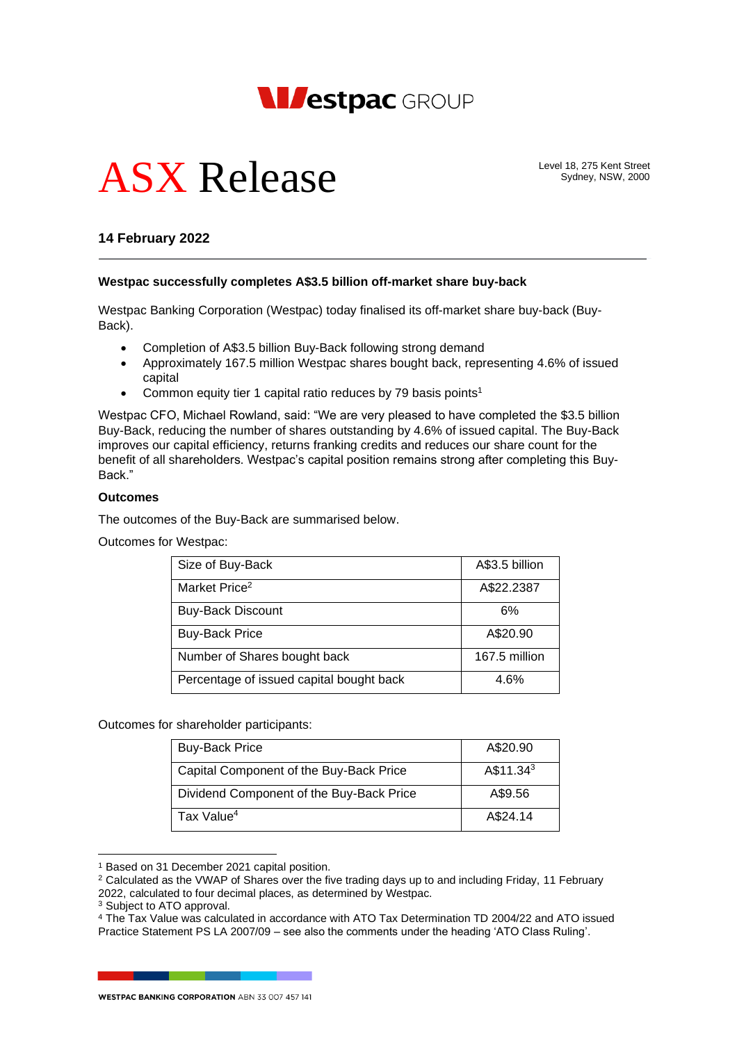

# ASX Release

Level 18, 275 Kent Street Sydney, NSW, 2000

# **14 February 2022**

# **Westpac successfully completes A\$3.5 billion off-market share buy-back**

Westpac Banking Corporation (Westpac) today finalised its off-market share buy-back (Buy-Back).

- Completion of A\$3.5 billion Buy-Back following strong demand
- Approximately 167.5 million Westpac shares bought back, representing 4.6% of issued capital
- Common equity tier 1 capital ratio reduces by 79 basis points<sup>1</sup>

Westpac CFO, Michael Rowland, said: "We are very pleased to have completed the \$3.5 billion Buy-Back, reducing the number of shares outstanding by 4.6% of issued capital. The Buy-Back improves our capital efficiency, returns franking credits and reduces our share count for the benefit of all shareholders. Westpac's capital position remains strong after completing this Buy-Back."

## **Outcomes**

The outcomes of the Buy-Back are summarised below.

Outcomes for Westpac:

| Size of Buy-Back                         | A\$3.5 billion |
|------------------------------------------|----------------|
| Market Price <sup>2</sup>                | A\$22.2387     |
| <b>Buy-Back Discount</b>                 | 6%             |
| <b>Buy-Back Price</b>                    | A\$20.90       |
| Number of Shares bought back             | 167.5 million  |
| Percentage of issued capital bought back | 4.6%           |

Outcomes for shareholder participants:

| <b>Buy-Back Price</b>                    | A\$20.90              |
|------------------------------------------|-----------------------|
| Capital Component of the Buy-Back Price  | A\$11.34 <sup>3</sup> |
| Dividend Component of the Buy-Back Price | A\$9.56               |
| Tax Value <sup>4</sup>                   | A\$24.14              |

<sup>1</sup> Based on 31 December 2021 capital position.

WESTRAC BANKING CORPORATION ARN 33 007 457 141

<sup>&</sup>lt;sup>2</sup> Calculated as the VWAP of Shares over the five trading days up to and including Friday, 11 February 2022, calculated to four decimal places, as determined by Westpac.

<sup>3</sup> Subject to ATO approval.

<sup>4</sup> The Tax Value was calculated in accordance with ATO Tax Determination TD 2004/22 and ATO issued Practice Statement PS LA 2007/09 – see also the comments under the heading 'ATO Class Ruling'.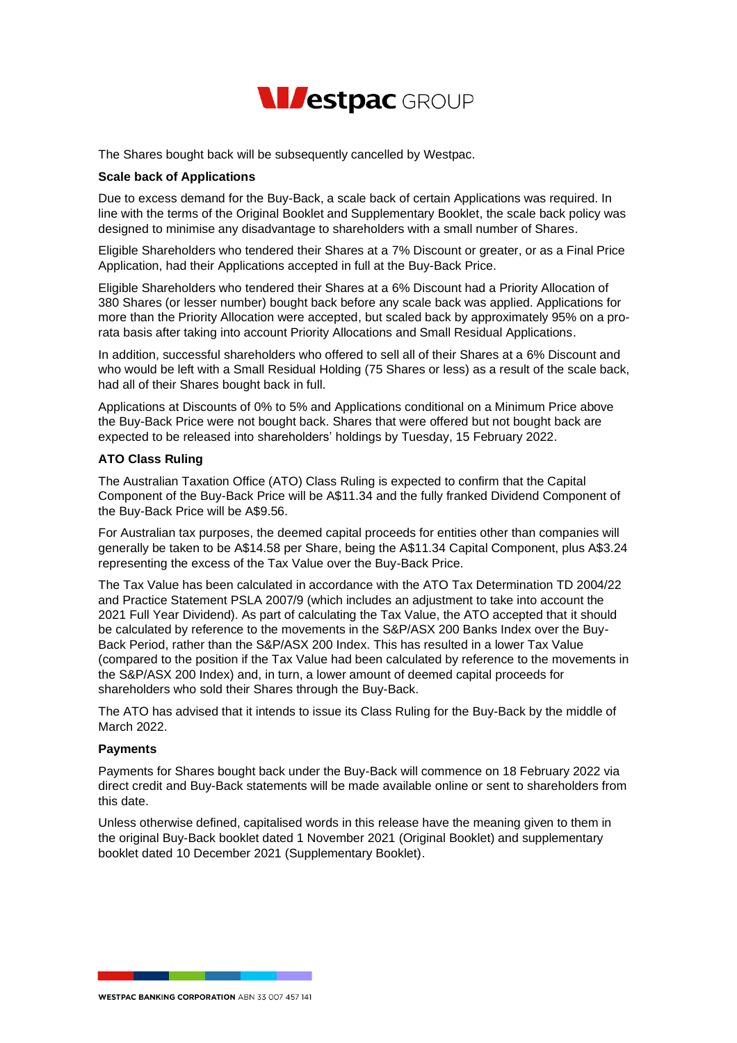

The Shares bought back will be subsequently cancelled by Westpac.

#### **Scale back of Applications**

Due to excess demand for the Buy-Back, a scale back of certain Applications was required. In line with the terms of the Original Booklet and Supplementary Booklet, the scale back policy was designed to minimise any disadvantage to shareholders with a small number of Shares.

Eligible Shareholders who tendered their Shares at a 7% Discount or greater, or as a Final Price Application, had their Applications accepted in full at the Buy-Back Price.

Eligible Shareholders who tendered their Shares at a 6% Discount had a Priority Allocation of 380 Shares (or lesser number) bought back before any scale back was applied. Applications for more than the Priority Allocation were accepted, but scaled back by approximately 95% on a prorata basis after taking into account Priority Allocations and Small Residual Applications.

In addition, successful shareholders who offered to sell all of their Shares at a 6% Discount and who would be left with a Small Residual Holding (75 Shares or less) as a result of the scale back, had all of their Shares bought back in full.

Applications at Discounts of 0% to 5% and Applications conditional on a Minimum Price above the Buy-Back Price were not bought back. Shares that were offered but not bought back are expected to be released into shareholders' holdings by Tuesday, 15 February 2022.

#### **ATO Class Ruling**

The Australian Taxation Office (ATO) Class Ruling is expected to confirm that the Capital Component of the Buy-Back Price will be A\$11.34 and the fully franked Dividend Component of the Buy-Back Price will be A\$9.56.

For Australian tax purposes, the deemed capital proceeds for entities other than companies will generally be taken to be A\$14.58 per Share, being the A\$11.34 Capital Component, plus A\$3.24 representing the excess of the Tax Value over the Buy-Back Price.

The Tax Value has been calculated in accordance with the ATO Tax Determination TD 2004/22 and Practice Statement PSLA 2007/9 (which includes an adjustment to take into account the 2021 Full Year Dividend). As part of calculating the Tax Value, the ATO accepted that it should be calculated by reference to the movements in the S&P/ASX 200 Banks Index over the Buy-Back Period, rather than the S&P/ASX 200 Index. This has resulted in a lower Tax Value (compared to the position if the Tax Value had been calculated by reference to the movements in the S&P/ASX 200 Index) and, in turn, a lower amount of deemed capital proceeds for shareholders who sold their Shares through the Buy-Back.

The ATO has advised that it intends to issue its Class Ruling for the Buy-Back by the middle of March 2022.

#### **Payments**

Payments for Shares bought back under the Buy-Back will commence on 18 February 2022 via direct credit and Buy-Back statements will be made available online or sent to shareholders from this date.

Unless otherwise defined, capitalised words in this release have the meaning given to them in the original Buy-Back booklet dated 1 November 2021 (Original Booklet) and supplementary booklet dated 10 December 2021 (Supplementary Booklet).